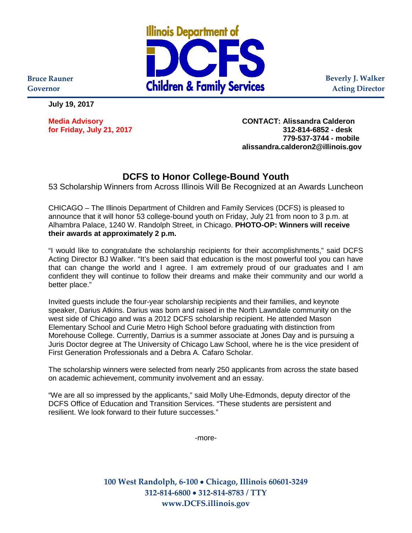

**Beverly J. Walker Acting Director**

**Bruce Rauner Governor**

**July 19, 2017**

**for Friday, July 21, 2017 312-814-6852 - desk**

**Media Advisory CONTACT: Alissandra Calderon 779-537-3744 - mobile alissandra.calderon2@illinois.gov**

## **DCFS to Honor College-Bound Youth**

53 Scholarship Winners from Across Illinois Will Be Recognized at an Awards Luncheon

CHICAGO – The Illinois Department of Children and Family Services (DCFS) is pleased to announce that it will honor 53 college-bound youth on Friday, July 21 from noon to 3 p.m. at Alhambra Palace, 1240 W. Randolph Street, in Chicago. **PHOTO-OP: Winners will receive their awards at approximately 2 p.m.** 

"I would like to congratulate the scholarship recipients for their accomplishments," said DCFS Acting Director BJ Walker. "It's been said that education is the most powerful tool you can have that can change the world and I agree. I am extremely proud of our graduates and I am confident they will continue to follow their dreams and make their community and our world a better place."

Invited guests include the four-year scholarship recipients and their families, and keynote speaker, Darius Atkins. Darius was born and raised in the North Lawndale community on the west side of Chicago and was a 2012 DCFS scholarship recipient. He attended Mason Elementary School and Curie Metro High School before graduating with distinction from Morehouse College. Currently, Darrius is a summer associate at Jones Day and is pursuing a Juris Doctor degree at The University of Chicago Law School, where he is the vice president of First Generation Professionals and a Debra A. Cafaro Scholar.

The scholarship winners were selected from nearly 250 applicants from across the state based on academic achievement, community involvement and an essay.

"We are all so impressed by the applicants," said Molly Uhe-Edmonds, deputy director of the DCFS Office of Education and Transition Services. "These students are persistent and resilient. We look forward to their future successes."

-more-

**100 West Randolph, 6-100** • **Chicago, Illinois 60601-3249 312-814-6800** • **312-814-8783 / TTY www.DCFS.illinois.gov**